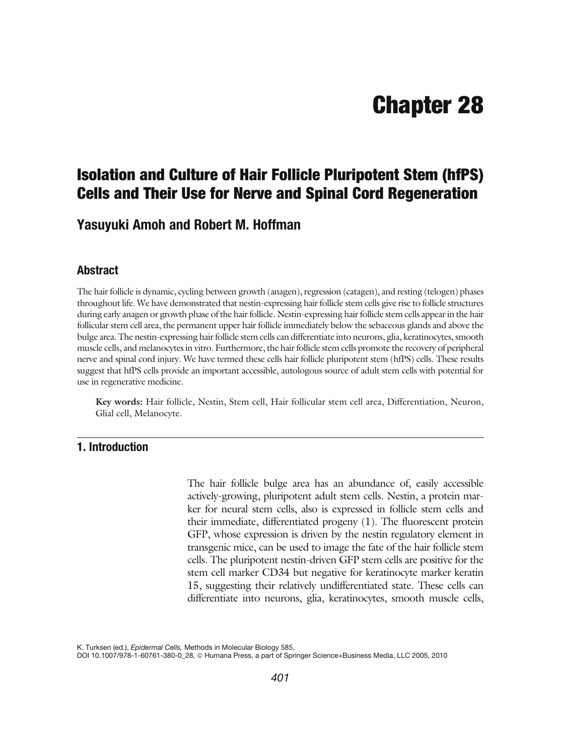# Chapter 28

## Isolation and Culture of Hair Follicle Pluripotent Stem (hfPS) Cells and Their Use for Nerve and Spinal Cord Regeneration

### Yasuyuki Amoh and Robert M. Hoffman

### **Abstract**

The hair follicle is dynamic, cycling between growth (anagen), regression (catagen), and resting (telogen) phases throughout life. We have demonstrated that nestin-expressing hair follicle stem cells give rise to follicle structures during early anagen or growth phase of the hair follicle. Nestin-expressing hair follicle stem cells appear in the hair follicular stem cell area, the permanent upper hair follicle immediately below the sebaceous glands and above the bulge area. The nestin-expressing hair follicle stem cells can differentiate into neurons, glia, keratinocytes, smooth muscle cells, and melanocytes in vitro. Furthermore, the hair follicle stem cells promote the recovery of peripheral nerve and spinal cord injury. We have termed these cells hair follicle pluripotent stem (hfPS) cells. These results suggest that hfPS cells provide an important accessible, autologous source of adult stem cells with potential for use in regenerative medicine.

Key words: Hair follicle, Nestin, Stem cell, Hair follicular stem cell area, Differentiation, Neuron, Glial cell, Melanocyte.

### 1. Introduction

The hair follicle bulge area has an abundance of, easily accessible actively-growing, pluripotent adult stem cells. Nestin, a protein marker for neural stem cells, also is expressed in follicle stem cells and their immediate, differentiated progeny [\(1\)](#page-19-0). The fluorescent protein GFP, whose expression is driven by the nestin regulatory element in transgenic mice, can be used to image the fate of the hair follicle stem cells. The pluripotent nestin-driven GFP stem cells are positive for the stem cell marker CD34 but negative for keratinocyte marker keratin 15, suggesting their relatively undifferentiated state. These cells can differentiate into neurons, glia, keratinocytes, smooth muscle cells,

K. Turksen (ed.), Epidermal Cells, Methods in Molecular Biology 585,

DOI 10.1007/978-1-60761-380-0\_28, @ Humana Press, a part of Springer Science+Business Media, LLC 2005, 2010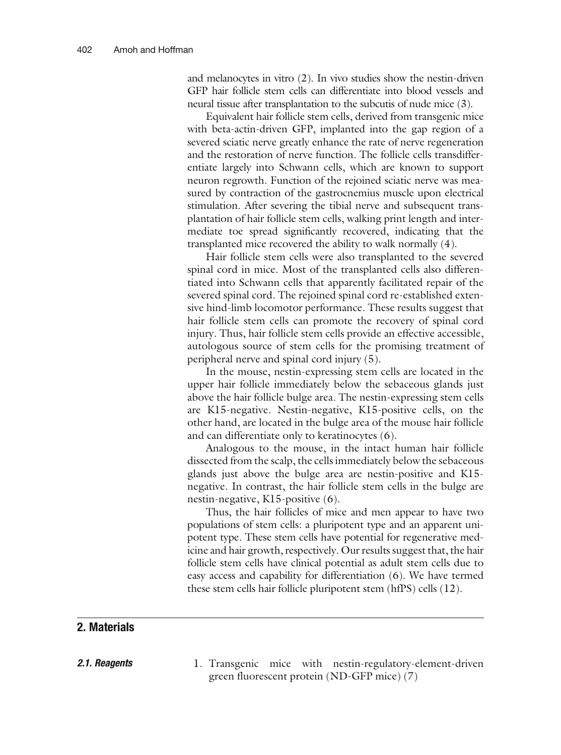and melanocytes in vitro [\(2\)](#page-19-0). In vivo studies show the nestin-driven GFP hair follicle stem cells can differentiate into blood vessels and neural tissue after transplantation to the subcutis of nude mice ([3](#page-19-0)).

Equivalent hair follicle stem cells, derived from transgenic mice with beta-actin-driven GFP, implanted into the gap region of a severed sciatic nerve greatly enhance the rate of nerve regeneration and the restoration of nerve function. The follicle cells transdifferentiate largely into Schwann cells, which are known to support neuron regrowth. Function of the rejoined sciatic nerve was measured by contraction of the gastrocnemius muscle upon electrical stimulation. After severing the tibial nerve and subsequent transplantation of hair follicle stem cells, walking print length and intermediate toe spread significantly recovered, indicating that the transplanted mice recovered the ability to walk normally ([4](#page-19-0)).

Hair follicle stem cells were also transplanted to the severed spinal cord in mice. Most of the transplanted cells also differentiated into Schwann cells that apparently facilitated repair of the severed spinal cord. The rejoined spinal cord re-established extensive hind-limb locomotor performance. These results suggest that hair follicle stem cells can promote the recovery of spinal cord injury. Thus, hair follicle stem cells provide an effective accessible, autologous source of stem cells for the promising treatment of peripheral nerve and spinal cord injury [\(5](#page-19-0)).

In the mouse, nestin-expressing stem cells are located in the upper hair follicle immediately below the sebaceous glands just above the hair follicle bulge area. The nestin-expressing stem cells are K15-negative. Nestin-negative, K15-positive cells, on the other hand, are located in the bulge area of the mouse hair follicle and can differentiate only to keratinocytes ([6\)](#page-19-0).

Analogous to the mouse, in the intact human hair follicle dissected from the scalp, the cells immediately below the sebaceous glands just above the bulge area are nestin-positive and K15 negative. In contrast, the hair follicle stem cells in the bulge are nestin-negative, K15-positive [\(6](#page-19-0)).

Thus, the hair follicles of mice and men appear to have two populations of stem cells: a pluripotent type and an apparent unipotent type. These stem cells have potential for regenerative medicine and hair growth, respectively. Our results suggest that, the hair follicle stem cells have clinical potential as adult stem cells due to easy access and capability for differentiation [\(6](#page-19-0)). We have termed these stem cells hair follicle pluripotent stem (hfPS) cells (12).

### 2. Materials

**2.1. Reagents** 1. Transgenic mice with nestin-regulatory-element-driven green fluorescent protein (ND-GFP mice) ([7\)](#page-19-0)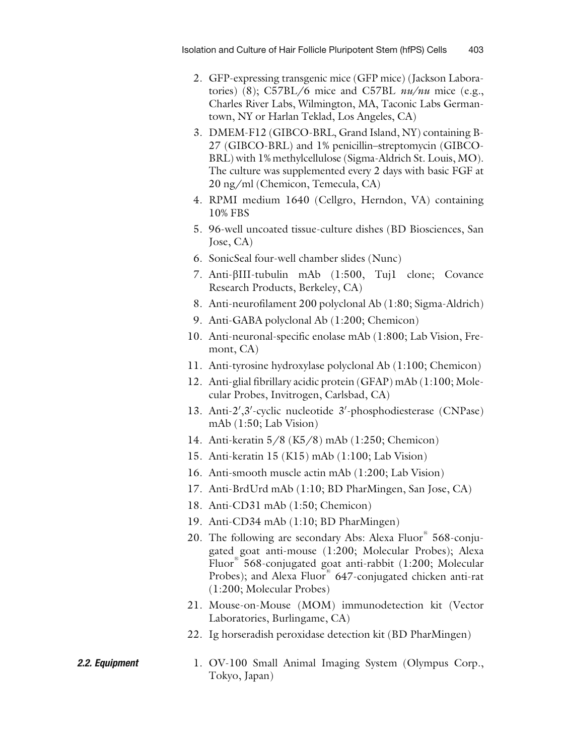- 2. GFP-expressing transgenic mice (GFP mice) (Jackson Labora-tories) [\(8\)](#page-19-0); C57BL/6 mice and C57BL  $nu/nu$  mice (e.g., Charles River Labs, Wilmington, MA, Taconic Labs Germantown, NY or Harlan Teklad, Los Angeles, CA)
- 3. DMEM-F12 (GIBCO-BRL, Grand Island, NY) containing B-27 (GIBCO-BRL) and 1% penicillin–streptomycin (GIBCO-BRL) with 1% methylcellulose (Sigma-Aldrich St. Louis, MO). The culture was supplemented every 2 days with basic FGF at 20 ng/ml (Chemicon, Temecula, CA)
- 4. RPMI medium 1640 (Cellgro, Herndon, VA) containing 10% FBS
- 5. 96-well uncoated tissue-culture dishes (BD Biosciences, San Jose, CA)
- 6. SonicSeal four-well chamber slides (Nunc)
- 7. Anti-bIII-tubulin mAb (1:500, Tuj1 clone; Covance Research Products, Berkeley, CA)
- 8. Anti-neurofilament 200 polyclonal Ab (1:80; Sigma-Aldrich)
- 9. Anti-GABA polyclonal Ab (1:200; Chemicon)
- 10. Anti-neuronal-specific enolase mAb (1:800; Lab Vision, Fremont, CA)
- 11. Anti-tyrosine hydroxylase polyclonal Ab (1:100; Chemicon)
- 12. Anti-glial fibrillary acidic protein (GFAP) mAb (1:100; Molecular Probes, Invitrogen, Carlsbad, CA)
- 13. Anti-2',3'-cyclic nucleotide 3'-phosphodiesterase (CNPase) mAb (1:50; Lab Vision)
- 14. Anti-keratin 5/8 (K5/8) mAb (1:250; Chemicon)
- 15. Anti-keratin 15 (K15) mAb (1:100; Lab Vision)
- 16. Anti-smooth muscle actin mAb (1:200; Lab Vision)
- 17. Anti-BrdUrd mAb (1:10; BD PharMingen, San Jose, CA)
- 18. Anti-CD31 mAb (1:50; Chemicon)
- 19. Anti-CD34 mAb (1:10; BD PharMingen)
- 20. The following are secondary Abs: Alexa Fluor® 568-conjugated goat anti-mouse (1:200; Molecular Probes); Alexa Fluor<sup>1</sup> 568-conjugated goat anti-rabbit (1:200; Molecular Probes); and Alexa Fluor<sup>®</sup> 647-conjugated chicken anti-rat (1:200; Molecular Probes)
- 21. Mouse-on-Mouse (MOM) immunodetection kit (Vector Laboratories, Burlingame, CA)
- 22. Ig horseradish peroxidase detection kit (BD PharMingen)
- **2.2. Equipment** 1. OV-100 Small Animal Imaging System (Olympus Corp., Tokyo, Japan)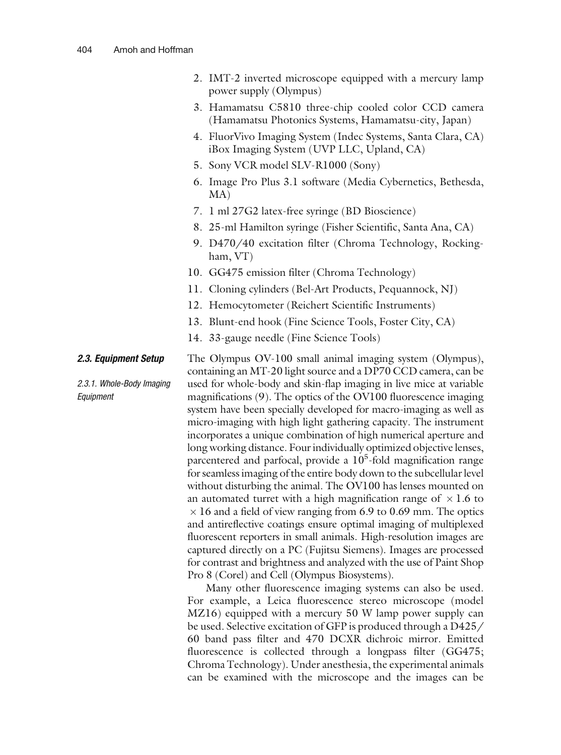- 2. IMT-2 inverted microscope equipped with a mercury lamp power supply (Olympus)
- 3. Hamamatsu C5810 three-chip cooled color CCD camera (Hamamatsu Photonics Systems, Hamamatsu-city, Japan)
- 4. FluorVivo Imaging System (Indec Systems, Santa Clara, CA) iBox Imaging System (UVP LLC, Upland, CA)
- 5. Sony VCR model SLV-R1000 (Sony)
- 6. Image Pro Plus 3.1 software (Media Cybernetics, Bethesda, MA)
- 7. 1 ml 27G2 latex-free syringe (BD Bioscience)
- 8. 25-ml Hamilton syringe (Fisher Scientific, Santa Ana, CA)
- 9. D470/40 excitation filter (Chroma Technology, Rockingham, VT)
- 10. GG475 emission filter (Chroma Technology)
- 11. Cloning cylinders (Bel-Art Products, Pequannock, NJ)
- 12. Hemocytometer (Reichert Scientific Instruments)
- 13. Blunt-end hook (Fine Science Tools, Foster City, CA)
- 14. 33-gauge needle (Fine Science Tools)

### 2.3. Equipment Setup

2.3.1. Whole-Body Imaging Equipment

The Olympus OV-100 small animal imaging system (Olympus), containing an MT-20 light source and a DP70 CCD camera, can be used for whole-body and skin-flap imaging in live mice at variable magnifications ([9](#page-19-0)). The optics of the OV100 fluorescence imaging system have been specially developed for macro-imaging as well as micro-imaging with high light gathering capacity. The instrument incorporates a unique combination of high numerical aperture and long working distance. Four individually optimized objective lenses, parcentered and parfocal, provide a 10<sup>5</sup>-fold magnification range for seamless imaging of the entire body down to the subcellular level without disturbing the animal. The OV100 has lenses mounted on an automated turret with a high magnification range of  $\times 1.6$  to  $\times$  16 and a field of view ranging from 6.9 to 0.69 mm. The optics and antireflective coatings ensure optimal imaging of multiplexed fluorescent reporters in small animals. High-resolution images are captured directly on a PC (Fujitsu Siemens). Images are processed for contrast and brightness and analyzed with the use of Paint Shop Pro 8 (Corel) and Cell (Olympus Biosystems).

Many other fluorescence imaging systems can also be used. For example, a Leica fluorescence stereo microscope (model MZ16) equipped with a mercury 50 W lamp power supply can be used. Selective excitation of GFP is produced through a D425/ 60 band pass filter and 470 DCXR dichroic mirror. Emitted fluorescence is collected through a longpass filter (GG475; Chroma Technology). Under anesthesia, the experimental animals can be examined with the microscope and the images can be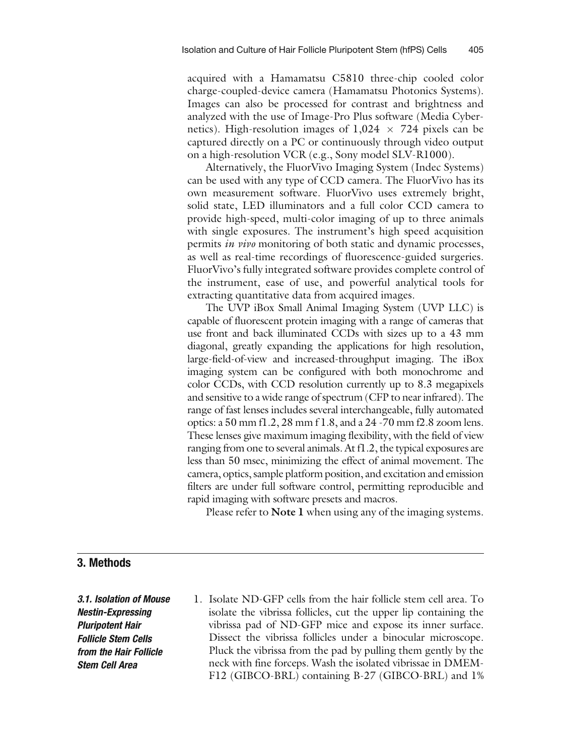acquired with a Hamamatsu C5810 three-chip cooled color charge-coupled-device camera (Hamamatsu Photonics Systems). Images can also be processed for contrast and brightness and analyzed with the use of Image-Pro Plus software (Media Cybernetics). High-resolution images of  $1,024 \times 724$  pixels can be captured directly on a PC or continuously through video output on a high-resolution VCR (e.g., Sony model SLV-R1000).

Alternatively, the FluorVivo Imaging System (Indec Systems) can be used with any type of CCD camera. The FluorVivo has its own measurement software. FluorVivo uses extremely bright, solid state, LED illuminators and a full color CCD camera to provide high-speed, multi-color imaging of up to three animals with single exposures. The instrument's high speed acquisition permits in vivo monitoring of both static and dynamic processes, as well as real-time recordings of fluorescence-guided surgeries. FluorVivo's fully integrated software provides complete control of the instrument, ease of use, and powerful analytical tools for extracting quantitative data from acquired images.

The UVP iBox Small Animal Imaging System (UVP LLC) is capable of fluorescent protein imaging with a range of cameras that use front and back illuminated CCDs with sizes up to a 43 mm diagonal, greatly expanding the applications for high resolution, large-field-of-view and increased-throughput imaging. The iBox imaging system can be configured with both monochrome and color CCDs, with CCD resolution currently up to 8.3 megapixels and sensitive to a wide range of spectrum (CFP to near infrared). The range of fast lenses includes several interchangeable, fully automated optics: a 50 mm f1.2, 28 mm f 1.8, and a 24 -70 mm f2.8 zoom lens. These lenses give maximum imaging flexibility, with the field of view ranging from one to several animals. At f1.2, the typical exposures are less than 50 msec, minimizing the effect of animal movement. The camera, optics, sample platform position, and excitation and emission filters are under full software control, permitting reproducible and rapid imaging with software presets and macros.

Please refer to **Note 1** when using any of the imaging systems.

### 3. Methods

3.1. Isolation of Mouse Nestin-Expressing Pluripotent Hair Follicle Stem Cells from the Hair Follicle Stem Cell Area

1. Isolate ND-GFP cells from the hair follicle stem cell area. To isolate the vibrissa follicles, cut the upper lip containing the vibrissa pad of ND-GFP mice and expose its inner surface. Dissect the vibrissa follicles under a binocular microscope. Pluck the vibrissa from the pad by pulling them gently by the neck with fine forceps. Wash the isolated vibrissae in DMEM-F12 (GIBCO-BRL) containing B-27 (GIBCO-BRL) and 1%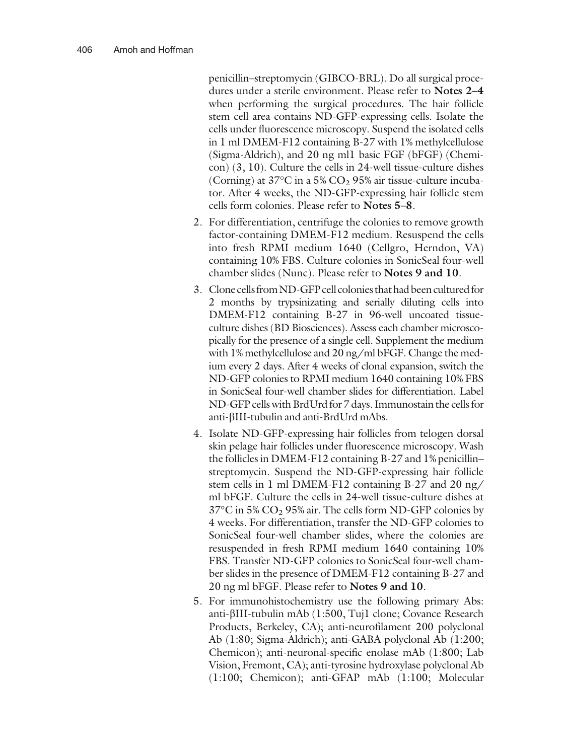penicillin–streptomycin (GIBCO-BRL). Do all surgical procedures under a sterile environment. Please refer to Notes 2–4 when performing the surgical procedures. The hair follicle stem cell area contains ND-GFP-expressing cells. Isolate the cells under fluorescence microscopy. Suspend the isolated cells in 1 ml DMEM-F12 containing B-27 with 1% methylcellulose (Sigma-Aldrich), and 20 ng ml1 basic FGF (bFGF) (Chemicon) [\(3](#page-19-0), [10](#page-19-0)). Culture the cells in 24-well tissue-culture dishes (Corning) at  $37^{\circ}$ C in a 5% CO<sub>2</sub> 95% air tissue-culture incubator. After 4 weeks, the ND-GFP-expressing hair follicle stem cells form colonies. Please refer to Notes 5–8.

- 2. For differentiation, centrifuge the colonies to remove growth factor-containing DMEM-F12 medium. Resuspend the cells into fresh RPMI medium 1640 (Cellgro, Herndon, VA) containing 10% FBS. Culture colonies in SonicSeal four-well chamber slides (Nunc). Please refer to Notes 9 and 10.
- 3. Clone cells from ND-GFP cell colonies that had been cultured for 2 months by trypsinizating and serially diluting cells into DMEM-F12 containing B-27 in 96-well uncoated tissueculture dishes (BD Biosciences). Assess each chamber microscopically for the presence of a single cell. Supplement the medium with 1% methylcellulose and 20 ng/ml bFGF. Change the medium every 2 days. After 4 weeks of clonal expansion, switch the ND-GFP colonies to RPMI medium 1640 containing 10% FBS in SonicSeal four-well chamber slides for differentiation. Label ND-GFP cells with BrdUrd for 7 days. Immunostain the cells for anti-bIII-tubulin and anti-BrdUrd mAbs.
- 4. Isolate ND-GFP-expressing hair follicles from telogen dorsal skin pelage hair follicles under fluorescence microscopy. Wash the follicles in DMEM-F12 containing B-27 and 1% penicillin– streptomycin. Suspend the ND-GFP-expressing hair follicle stem cells in 1 ml DMEM-F12 containing B-27 and 20 ng/ ml bFGF. Culture the cells in 24-well tissue-culture dishes at  $37^{\circ}$ C in 5% CO<sub>2</sub> 95% air. The cells form ND-GFP colonies by 4 weeks. For differentiation, transfer the ND-GFP colonies to SonicSeal four-well chamber slides, where the colonies are resuspended in fresh RPMI medium 1640 containing 10% FBS. Transfer ND-GFP colonies to SonicSeal four-well chamber slides in the presence of DMEM-F12 containing B-27 and 20 ng ml bFGF. Please refer to Notes 9 and 10.
- 5. For immunohistochemistry use the following primary Abs: anti-bIII-tubulin mAb (1:500, Tuj1 clone; Covance Research Products, Berkeley, CA); anti-neurofilament 200 polyclonal Ab (1:80; Sigma-Aldrich); anti-GABA polyclonal Ab (1:200; Chemicon); anti-neuronal-specific enolase mAb (1:800; Lab Vision, Fremont, CA); anti-tyrosine hydroxylase polyclonal Ab (1:100; Chemicon); anti-GFAP mAb (1:100; Molecular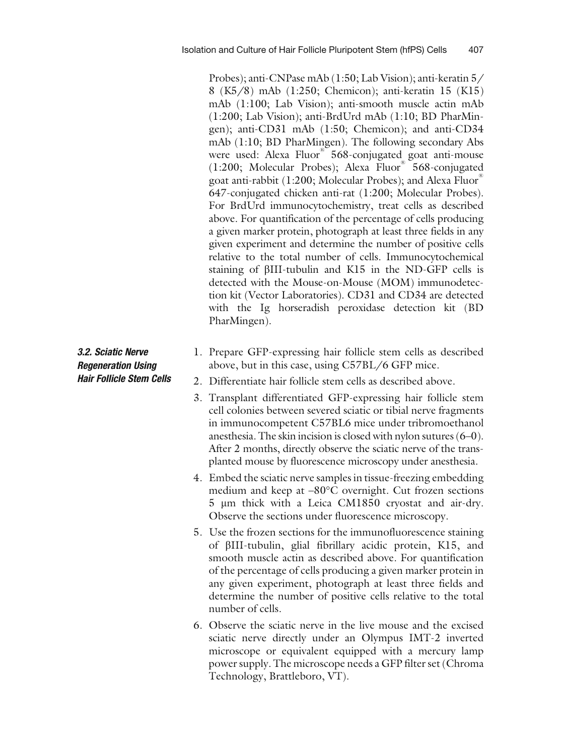Probes); anti-CNPase mAb (1:50; Lab Vision); anti-keratin 5/ 8 (K5/8) mAb (1:250; Chemicon); anti-keratin 15 (K15) mAb (1:100; Lab Vision); anti-smooth muscle actin mAb (1:200; Lab Vision); anti-BrdUrd mAb (1:10; BD PharMingen); anti-CD31 mAb (1:50; Chemicon); and anti-CD34 mAb (1:10; BD PharMingen). The following secondary Abs were used: Alexa Fluor<sup>®</sup> 568-conjugated goat anti-mouse (1:200; Molecular Probes); Alexa Fluor® 568-conjugated goat anti-rabbit (1:200; Molecular Probes); and Alexa Fluor 647-conjugated chicken anti-rat (1:200; Molecular Probes). For BrdUrd immunocytochemistry, treat cells as described above. For quantification of the percentage of cells producing a given marker protein, photograph at least three fields in any given experiment and determine the number of positive cells relative to the total number of cells. Immunocytochemical staining of bIII-tubulin and K15 in the ND-GFP cells is detected with the Mouse-on-Mouse (MOM) immunodetection kit (Vector Laboratories). CD31 and CD34 are detected with the Ig horseradish peroxidase detection kit (BD PharMingen).

- 1. Prepare GFP-expressing hair follicle stem cells as described above, but in this case, using C57BL/6 GFP mice.
- 2. Differentiate hair follicle stem cells as described above.
- 3. Transplant differentiated GFP-expressing hair follicle stem cell colonies between severed sciatic or tibial nerve fragments in immunocompetent C57BL6 mice under tribromoethanol anesthesia. The skin incision is closed with nylon sutures (6–0). After 2 months, directly observe the sciatic nerve of the transplanted mouse by fluorescence microscopy under anesthesia.
- 4. Embed the sciatic nerve samples in tissue-freezing embedding medium and keep at  $-80^{\circ}$ C overnight. Cut frozen sections 5 µm thick with a Leica CM1850 cryostat and air-dry. Observe the sections under fluorescence microscopy.
- 5. Use the frozen sections for the immunofluorescence staining of bIII-tubulin, glial fibrillary acidic protein, K15, and smooth muscle actin as described above. For quantification of the percentage of cells producing a given marker protein in any given experiment, photograph at least three fields and determine the number of positive cells relative to the total number of cells.
- 6. Observe the sciatic nerve in the live mouse and the excised sciatic nerve directly under an Olympus IMT-2 inverted microscope or equivalent equipped with a mercury lamp power supply. The microscope needs a GFP filter set (Chroma Technology, Brattleboro, VT).

3.2. Sciatic Nerve Regeneration Using Hair Follicle Stem Cells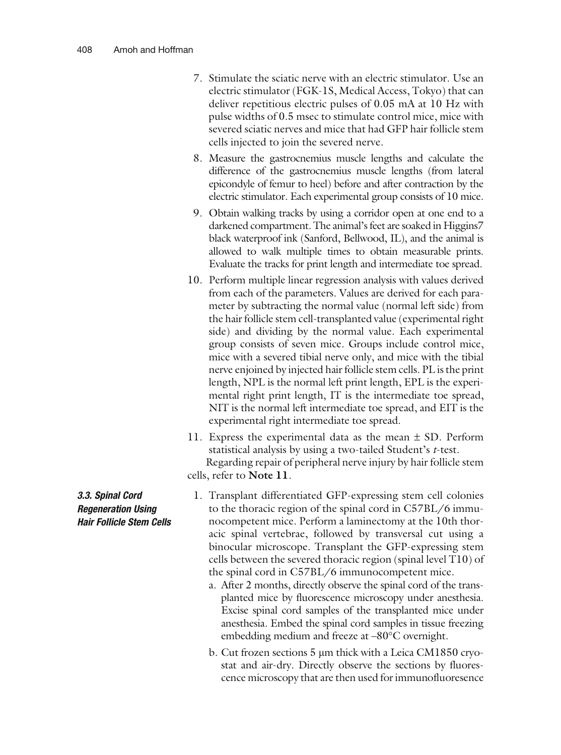- 7. Stimulate the sciatic nerve with an electric stimulator. Use an electric stimulator (FGK-1S, Medical Access, Tokyo) that can deliver repetitious electric pulses of 0.05 mA at 10 Hz with pulse widths of 0.5 msec to stimulate control mice, mice with severed sciatic nerves and mice that had GFP hair follicle stem cells injected to join the severed nerve.
- 8. Measure the gastrocnemius muscle lengths and calculate the difference of the gastrocnemius muscle lengths (from lateral epicondyle of femur to heel) before and after contraction by the electric stimulator. Each experimental group consists of 10 mice.
- 9. Obtain walking tracks by using a corridor open at one end to a darkened compartment. The animal's feet are soaked in Higgins7 black waterproof ink (Sanford, Bellwood, IL), and the animal is allowed to walk multiple times to obtain measurable prints. Evaluate the tracks for print length and intermediate toe spread.
- 10. Perform multiple linear regression analysis with values derived from each of the parameters. Values are derived for each parameter by subtracting the normal value (normal left side) from the hair follicle stem cell-transplanted value (experimental right side) and dividing by the normal value. Each experimental group consists of seven mice. Groups include control mice, mice with a severed tibial nerve only, and mice with the tibial nerve enjoined by injected hair follicle stem cells. PL is the print length, NPL is the normal left print length, EPL is the experimental right print length, IT is the intermediate toe spread, NIT is the normal left intermediate toe spread, and EIT is the experimental right intermediate toe spread.
- 11. Express the experimental data as the mean  $\pm$  SD. Perform statistical analysis by using a two-tailed Student's t-test. Regarding repair of peripheral nerve injury by hair follicle stem cells, refer to Note 11.
	- 1. Transplant differentiated GFP-expressing stem cell colonies to the thoracic region of the spinal cord in C57BL/6 immunocompetent mice. Perform a laminectomy at the 10th thoracic spinal vertebrae, followed by transversal cut using a binocular microscope. Transplant the GFP-expressing stem cells between the severed thoracic region (spinal level T10) of the spinal cord in C57BL/6 immunocompetent mice.
		- a. After 2 months, directly observe the spinal cord of the transplanted mice by fluorescence microscopy under anesthesia. Excise spinal cord samples of the transplanted mice under anesthesia. Embed the spinal cord samples in tissue freezing embedding medium and freeze at -80°C overnight.
		- b. Cut frozen sections 5 µm thick with a Leica CM1850 cryostat and air-dry. Directly observe the sections by fluorescence microscopy that are then used for immunofluoresence

3.3. Spinal Cord Regeneration Using Hair Follicle Stem Cells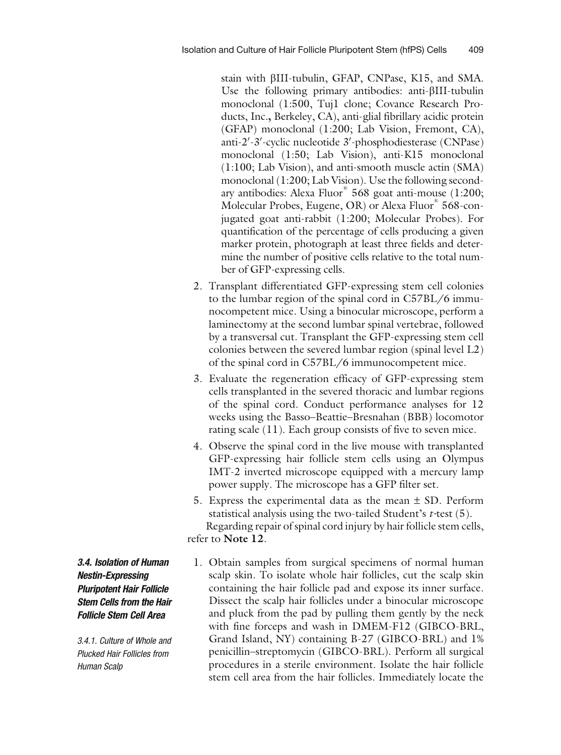stain with bIII-tubulin, GFAP, CNPase, K15, and SMA. Use the following primary antibodies: anti- $\beta$ III-tubulin monoclonal (1:500, Tuj1 clone; Covance Research Products, Inc., Berkeley, CA), anti-glial fibrillary acidic protein (GFAP) monoclonal (1:200; Lab Vision, Fremont, CA), anti-2'-3'-cyclic nucleotide 3'-phosphodiesterase (CNPase) monoclonal (1:50; Lab Vision), anti-K15 monoclonal (1:100; Lab Vision), and anti-smooth muscle actin (SMA) monoclonal (1:200; Lab Vision). Use the following secondary antibodies: Alexa Fluor<sup>®</sup> 568 goat anti-mouse (1:200; Molecular Probes, Eugene, OR) or Alexa Fluor<sup>®</sup> 568-conjugated goat anti-rabbit (1:200; Molecular Probes). For quantification of the percentage of cells producing a given marker protein, photograph at least three fields and determine the number of positive cells relative to the total number of GFP-expressing cells.

- 2. Transplant differentiated GFP-expressing stem cell colonies to the lumbar region of the spinal cord in C57BL/6 immunocompetent mice. Using a binocular microscope, perform a laminectomy at the second lumbar spinal vertebrae, followed by a transversal cut. Transplant the GFP-expressing stem cell colonies between the severed lumbar region (spinal level L2) of the spinal cord in C57BL/6 immunocompetent mice.
- 3. Evaluate the regeneration efficacy of GFP-expressing stem cells transplanted in the severed thoracic and lumbar regions of the spinal cord. Conduct performance analyses for 12 weeks using the Basso–Beattie–Bresnahan (BBB) locomotor rating scale ([11\)](#page-19-0). Each group consists of five to seven mice.
- 4. Observe the spinal cord in the live mouse with transplanted GFP-expressing hair follicle stem cells using an Olympus IMT-2 inverted microscope equipped with a mercury lamp power supply. The microscope has a GFP filter set.
- 5. Express the experimental data as the mean  $\pm$  SD. Perform statistical analysis using the two-tailed Student's  $t$ -test [\(5](#page-19-0)). Regarding repair of spinal cord injury by hair follicle stem cells, refer to Note 12.
- 1. Obtain samples from surgical specimens of normal human scalp skin. To isolate whole hair follicles, cut the scalp skin containing the hair follicle pad and expose its inner surface. Dissect the scalp hair follicles under a binocular microscope and pluck from the pad by pulling them gently by the neck with fine forceps and wash in DMEM-F12 (GIBCO-BRL, Grand Island, NY) containing B-27 (GIBCO-BRL) and 1% penicillin–streptomycin (GIBCO-BRL). Perform all surgical procedures in a sterile environment. Isolate the hair follicle stem cell area from the hair follicles. Immediately locate the

3.4. Isolation of Human Nestin-Expressing Pluripotent Hair Follicle Stem Cells from the Hair Follicle Stem Cell Area

3.4.1. Culture of Whole and Plucked Hair Follicles from Human Scalp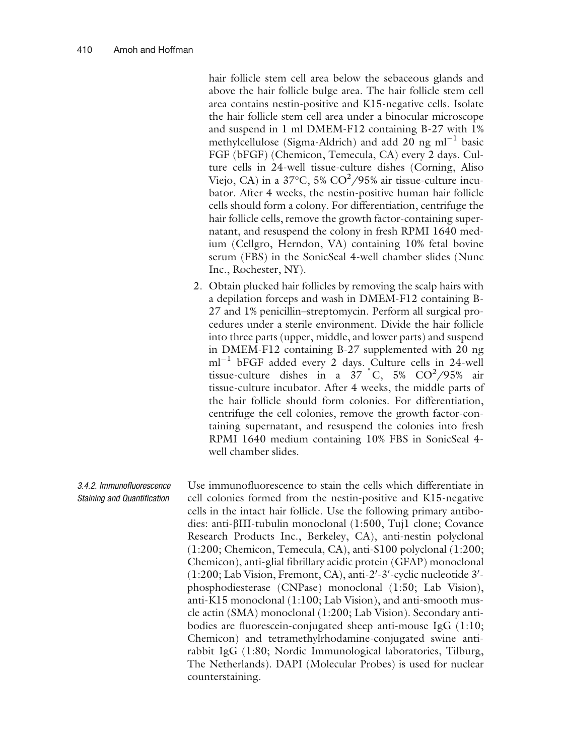hair follicle stem cell area below the sebaceous glands and above the hair follicle bulge area. The hair follicle stem cell area contains nestin-positive and K15-negative cells. Isolate the hair follicle stem cell area under a binocular microscope and suspend in 1 ml DMEM-F12 containing B-27 with 1% methylcellulose (Sigma-Aldrich) and add 20 ng  $ml^{-1}$  basic FGF (bFGF) (Chemicon, Temecula, CA) every 2 days. Culture cells in 24-well tissue-culture dishes (Corning, Aliso Viejo, CA) in a 37°C, 5% CO<sup>2</sup>/95% air tissue-culture incubator. After 4 weeks, the nestin-positive human hair follicle cells should form a colony. For differentiation, centrifuge the hair follicle cells, remove the growth factor-containing supernatant, and resuspend the colony in fresh RPMI 1640 medium (Cellgro, Herndon, VA) containing 10% fetal bovine serum (FBS) in the SonicSeal 4-well chamber slides (Nunc Inc., Rochester, NY).

2. Obtain plucked hair follicles by removing the scalp hairs with a depilation forceps and wash in DMEM-F12 containing B-27 and 1% penicillin–streptomycin. Perform all surgical procedures under a sterile environment. Divide the hair follicle into three parts (upper, middle, and lower parts) and suspend in DMEM-F12 containing B-27 supplemented with 20 ng  $ml^{-1}$  bFGF added every 2 days. Culture cells in 24-well tissue-culture dishes in a  $37\degree$ C,  $5\%$  CO<sup>2</sup>/95% air tissue-culture incubator. After 4 weeks, the middle parts of the hair follicle should form colonies. For differentiation, centrifuge the cell colonies, remove the growth factor-containing supernatant, and resuspend the colonies into fresh RPMI 1640 medium containing 10% FBS in SonicSeal 4 well chamber slides.

3.4.2. Immunofluorescence Staining and Quantification Use immunofluorescence to stain the cells which differentiate in cell colonies formed from the nestin-positive and K15-negative cells in the intact hair follicle. Use the following primary antibodies: anti-bIII-tubulin monoclonal (1:500, Tuj1 clone; Covance Research Products Inc., Berkeley, CA), anti-nestin polyclonal (1:200; Chemicon, Temecula, CA), anti-S100 polyclonal (1:200; Chemicon), anti-glial fibrillary acidic protein (GFAP) monoclonal (1:200; Lab Vision, Fremont, CA), anti-2'-3'-cyclic nucleotide 3'phosphodiesterase (CNPase) monoclonal (1:50; Lab Vision), anti-K15 monoclonal (1:100; Lab Vision), and anti-smooth muscle actin (SMA) monoclonal (1:200; Lab Vision). Secondary antibodies are fluorescein-conjugated sheep anti-mouse IgG (1:10; Chemicon) and tetramethylrhodamine-conjugated swine antirabbit IgG (1:80; Nordic Immunological laboratories, Tilburg, The Netherlands). DAPI (Molecular Probes) is used for nuclear counterstaining.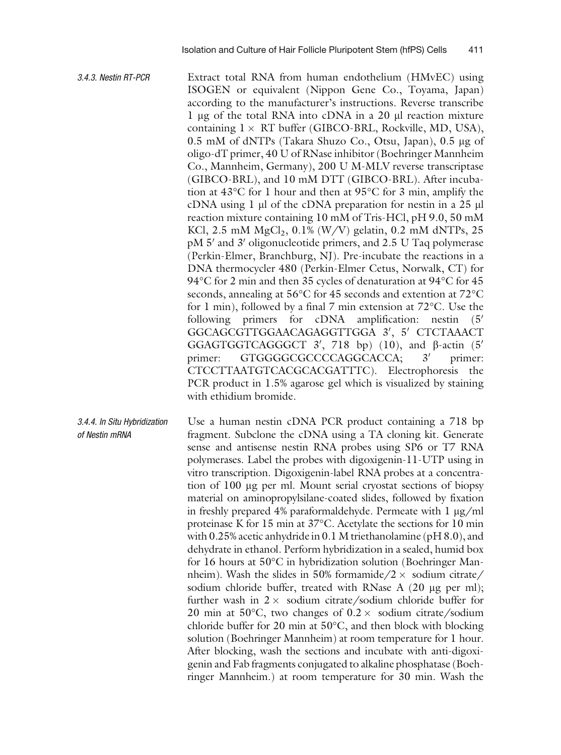- 3.4.3. Nestin RT-PCR Extract total RNA from human endothelium (HMvEC) using ISOGEN or equivalent (Nippon Gene Co., Toyama, Japan) according to the manufacturer's instructions. Reverse transcribe 1 µg of the total RNA into cDNA in a 20 µl reaction mixture containing  $1 \times RT$  buffer (GIBCO-BRL, Rockville, MD, USA), 0.5 mM of dNTPs (Takara Shuzo Co., Otsu, Japan), 0.5 µg of oligo-dT primer, 40 U of RNase inhibitor (Boehringer Mannheim Co., Mannheim, Germany), 200 U M-MLV reverse transcriptase (GIBCO-BRL), and 10 mM DTT (GIBCO-BRL). After incubation at  $43^{\circ}$ C for 1 hour and then at  $95^{\circ}$ C for 3 min, amplify the cDNA using  $1 \mu$  of the cDNA preparation for nestin in a 25  $\mu$ l reaction mixture containing 10 mM of Tris-HCl, pH 9.0, 50 mM KCl, 2.5 mM  $MgCl_2$ , 0.1% (W/V) gelatin, 0.2 mM dNTPs, 25  $pM 5'$  and 3' oligonucleotide primers, and 2.5 U Taq polymerase (Perkin-Elmer, Branchburg, NJ). Pre-incubate the reactions in a DNA thermocycler 480 (Perkin-Elmer Cetus, Norwalk, CT) for 94°C for 2 min and then 35 cycles of denaturation at 94°C for 45 seconds, annealing at 56°C for 45 seconds and extention at 72°C  $\,$ for 1 min), followed by a final 7 min extension at 72°C. Use the following primers for cDNA amplification: nestin  $(5<sup>′</sup>)$ GGCAGCGTTGGAACAGAGGTTGGA 3', 5' CTCTAAACT GGAGTGGTCAGGGCT  $3'$ , 718 bp) ([10\)](#page-19-0), and  $\beta$ -actin (5' primer: GTGGGGCGCCCCAGGCACCA;  $3'$  primer: CTCCTTAATGTCACGCACGATTTC). Electrophoresis the PCR product in 1.5% agarose gel which is visualized by staining with ethidium bromide.
- 3.4.4. In Situ Hybridization of Nestin mRNA Use a human nestin cDNA PCR product containing a 718 bp fragment. Subclone the cDNA using a TA cloning kit. Generate sense and antisense nestin RNA probes using SP6 or T7 RNA polymerases. Label the probes with digoxigenin-11-UTP using in vitro transcription. Digoxigenin-label RNA probes at a concentration of 100 mg per ml. Mount serial cryostat sections of biopsy material on aminopropylsilane-coated slides, followed by fixation in freshly prepared 4% paraformaldehyde. Permeate with  $1 \mu g/ml$ proteinase K for 15 min at 37°C. Acetylate the sections for 10 min with 0.25% acetic anhydride in 0.1 M triethanolamine (pH 8.0), and dehydrate in ethanol. Perform hybridization in a sealed, humid box for 16 hours at 50°C in hybridization solution (Boehringer Mannheim). Wash the slides in 50% formamide/2  $\times$  sodium citrate/ sodium chloride buffer, treated with RNase A  $(20 \mu g$  per ml); further wash in  $2 \times$  sodium citrate/sodium chloride buffer for 20 min at 50°C, two changes of  $0.2 \times$  sodium citrate/sodium chloride buffer for 20 min at  $50^{\circ}$ C, and then block with blocking solution (Boehringer Mannheim) at room temperature for 1 hour. After blocking, wash the sections and incubate with anti-digoxigenin and Fab fragments conjugated to alkaline phosphatase (Boehringer Mannheim.) at room temperature for 30 min. Wash the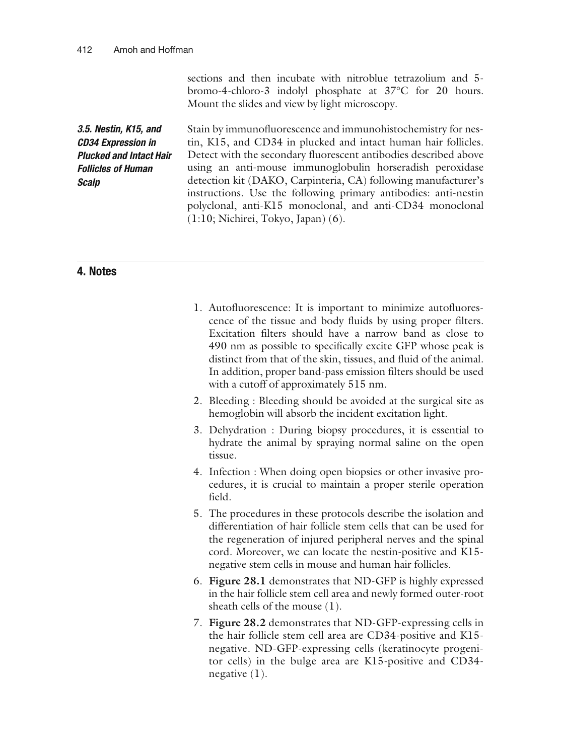sections and then incubate with nitroblue tetrazolium and 5 bromo-4-chloro-3 indolyl phosphate at 37°C for 20 hours. Mount the slides and view by light microscopy.

3.5. Nestin, K15, and CD34 Expression in Plucked and Intact Hair Follicles of Human **Scalp** Stain by immunofluorescence and immunohistochemistry for nestin, K15, and CD34 in plucked and intact human hair follicles. Detect with the secondary fluorescent antibodies described above using an anti-mouse immunoglobulin horseradish peroxidase detection kit (DAKO, Carpinteria, CA) following manufacturer's instructions. Use the following primary antibodies: anti-nestin polyclonal, anti-K15 monoclonal, and anti-CD34 monoclonal (1:10; Nichirei, Tokyo, Japan) [\(6](#page-19-0)).

### 4. Notes

- 1. Autofluorescence: It is important to minimize autofluorescence of the tissue and body fluids by using proper filters. Excitation filters should have a narrow band as close to 490 nm as possible to specifically excite GFP whose peak is distinct from that of the skin, tissues, and fluid of the animal. In addition, proper band-pass emission filters should be used with a cutoff of approximately 515 nm.
- 2. Bleeding : Bleeding should be avoided at the surgical site as hemoglobin will absorb the incident excitation light.
- 3. Dehydration : During biopsy procedures, it is essential to hydrate the animal by spraying normal saline on the open tissue.
- 4. Infection : When doing open biopsies or other invasive procedures, it is crucial to maintain a proper sterile operation field.
- 5. The procedures in these protocols describe the isolation and differentiation of hair follicle stem cells that can be used for the regeneration of injured peripheral nerves and the spinal cord. Moreover, we can locate the nestin-positive and K15 negative stem cells in mouse and human hair follicles.
- 6. Figure [28.1](#page-12-0) demonstrates that ND-GFP is highly expressed in the hair follicle stem cell area and newly formed outer-root sheath cells of the mouse ([1\)](#page-19-0).
- 7. Figure [28.2](#page-13-0) demonstrates that ND-GFP-expressing cells in the hair follicle stem cell area are CD34-positive and K15 negative. ND-GFP-expressing cells (keratinocyte progenitor cells) in the bulge area are K15-positive and CD34 negative [\(1](#page-19-0)).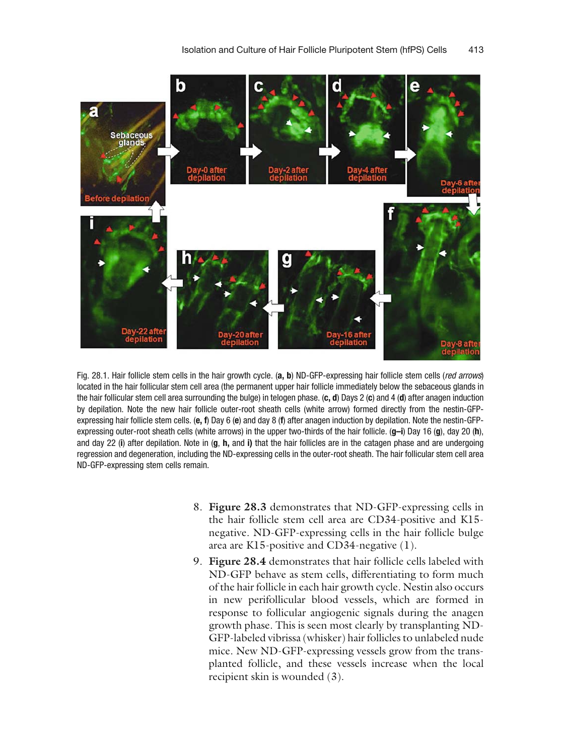<span id="page-12-0"></span>

Fig. 28.1. Hair follicle stem cells in the hair growth cycle. (a, b) ND-GFP-expressing hair follicle stem cells (red arrows) located in the hair follicular stem cell area (the permanent upper hair follicle immediately below the sebaceous glands in the hair follicular stem cell area surrounding the bulge) in telogen phase.  $(c, d)$  Days 2  $(c)$  and 4  $(d)$  after anagen induction by depilation. Note the new hair follicle outer-root sheath cells (white arrow) formed directly from the nestin-GFPexpressing hair follicle stem cells. (e, f) Day 6 (e) and day 8 (f) after anagen induction by depilation. Note the nestin-GFPexpressing outer-root sheath cells (white arrows) in the upper two-thirds of the hair follicle.  $(g-i)$  Day 16  $(g)$ , day 20 (h), and day 22 (i) after depilation. Note in  $(q, h,$  and i) that the hair follicles are in the catagen phase and are undergoing regression and degeneration, including the ND-expressing cells in the outer-root sheath. The hair follicular stem cell area ND-GFP-expressing stem cells remain.

- 8. Figure [28.3](#page-14-0) demonstrates that ND-GFP-expressing cells in the hair follicle stem cell area are CD34-positive and K15 negative. ND-GFP-expressing cells in the hair follicle bulge area are K15-positive and CD34-negative [\(1\)](#page-19-0).
- 9. Figure [28.4](#page-15-0) demonstrates that hair follicle cells labeled with ND-GFP behave as stem cells, differentiating to form much of the hair follicle in each hair growth cycle. Nestin also occurs in new perifollicular blood vessels, which are formed in response to follicular angiogenic signals during the anagen growth phase. This is seen most clearly by transplanting ND-GFP-labeled vibrissa (whisker) hair follicles to unlabeled nude mice. New ND-GFP-expressing vessels grow from the transplanted follicle, and these vessels increase when the local recipient skin is wounded ([3\)](#page-19-0).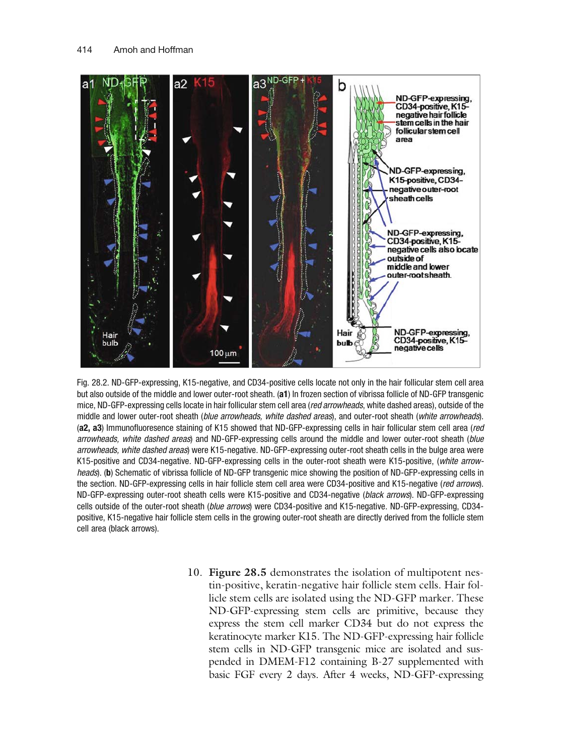<span id="page-13-0"></span>

Fig. 28.2. ND-GFP-expressing, K15-negative, and CD34-positive cells locate not only in the hair follicular stem cell area but also outside of the middle and lower outer-root sheath. (a1) In frozen section of vibrissa follicle of ND-GFP transgenic mice, ND-GFP-expressing cells locate in hair follicular stem cell area (red arrowheads, white dashed areas), outside of the middle and lower outer-root sheath (blue arrowheads, white dashed areas), and outer-root sheath (white arrowheads). (a2, a3) Immunofluoresence staining of K15 showed that ND-GFP-expressing cells in hair follicular stem cell area (red arrowheads, white dashed areas) and ND-GFP-expressing cells around the middle and lower outer-root sheath (blue arrowheads, white dashed areas) were K15-negative. ND-GFP-expressing outer-root sheath cells in the bulge area were K15-positive and CD34-negative. ND-GFP-expressing cells in the outer-root sheath were K15-positive, (white arrowheads). (b) Schematic of vibrissa follicle of ND-GFP transgenic mice showing the position of ND-GFP-expressing cells in the section. ND-GFP-expressing cells in hair follicle stem cell area were CD34-positive and K15-negative (red arrows). ND-GFP-expressing outer-root sheath cells were K15-positive and CD34-negative (black arrows). ND-GFP-expressing cells outside of the outer-root sheath (blue arrows) were CD34-positive and K15-negative. ND-GFP-expressing, CD34positive, K15-negative hair follicle stem cells in the growing outer-root sheath are directly derived from the follicle stem cell area (black arrows).

10. Figure [28.5](#page-16-0) demonstrates the isolation of multipotent nestin-positive, keratin-negative hair follicle stem cells. Hair follicle stem cells are isolated using the ND-GFP marker. These ND-GFP-expressing stem cells are primitive, because they express the stem cell marker CD34 but do not express the keratinocyte marker K15. The ND-GFP-expressing hair follicle stem cells in ND-GFP transgenic mice are isolated and suspended in DMEM-F12 containing B-27 supplemented with basic FGF every 2 days. After 4 weeks, ND-GFP-expressing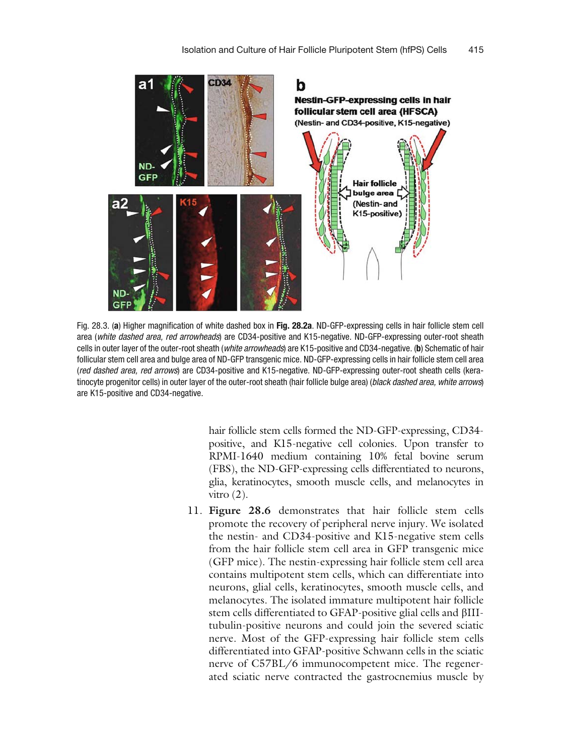<span id="page-14-0"></span>

Fig. 28.3. (a) Higher magnification of white dashed box in Fig. [28.2a](#page-13-0). ND-GFP-expressing cells in hair follicle stem cell area (white dashed area, red arrowheads) are CD34-positive and K15-negative. ND-GFP-expressing outer-root sheath cells in outer layer of the outer-root sheath (*white arrowheads*) are K15-positive and CD34-negative. (b) Schematic of hair follicular stem cell area and bulge area of ND-GFP transgenic mice. ND-GFP-expressing cells in hair follicle stem cell area (red dashed area, red arrows) are CD34-positive and K15-negative. ND-GFP-expressing outer-root sheath cells (keratinocyte progenitor cells) in outer layer of the outer-root sheath (hair follicle bulge area) (black dashed area, white arrows) are K15-positive and CD34-negative.

hair follicle stem cells formed the ND-GFP-expressing, CD34 positive, and K15-negative cell colonies. Upon transfer to RPMI-1640 medium containing 10% fetal bovine serum (FBS), the ND-GFP-expressing cells differentiated to neurons, glia, keratinocytes, smooth muscle cells, and melanocytes in vitro  $(2)$ .

11. Figure [28.6](#page-17-0) demonstrates that hair follicle stem cells promote the recovery of peripheral nerve injury. We isolated the nestin- and CD34-positive and K15-negative stem cells from the hair follicle stem cell area in GFP transgenic mice (GFP mice). The nestin-expressing hair follicle stem cell area contains multipotent stem cells, which can differentiate into neurons, glial cells, keratinocytes, smooth muscle cells, and melanocytes. The isolated immature multipotent hair follicle stem cells differentiated to GFAP-positive glial cells and bIIItubulin-positive neurons and could join the severed sciatic nerve. Most of the GFP-expressing hair follicle stem cells differentiated into GFAP-positive Schwann cells in the sciatic nerve of C57BL/6 immunocompetent mice. The regenerated sciatic nerve contracted the gastrocnemius muscle by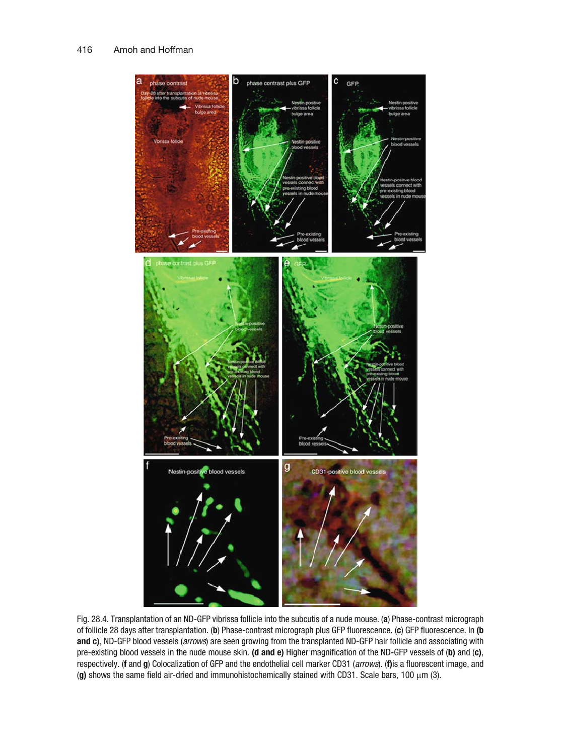<span id="page-15-0"></span>

Fig. 28.4. Transplantation of an ND-GFP vibrissa follicle into the subcutis of a nude mouse. (a) Phase-contrast micrograph of follicle 28 days after transplantation. (b) Phase-contrast micrograph plus GFP fluorescence. (c) GFP fluorescence. In (b and c), ND-GFP blood vessels (arrows) are seen growing from the transplanted ND-GFP hair follicle and associating with pre-existing blood vessels in the nude mouse skin. (d and e) Higher magnification of the ND-GFP vessels of (b) and (c), respectively. (f and g) Colocalization of GFP and the endothelial cell marker CD31 (arrows). (f)is a fluorescent image, and (g) shows the same field air-dried and immunohistochemically stained with CD31. Scale bars, 100  $\mu$ m [\(3\)](#page-19-0).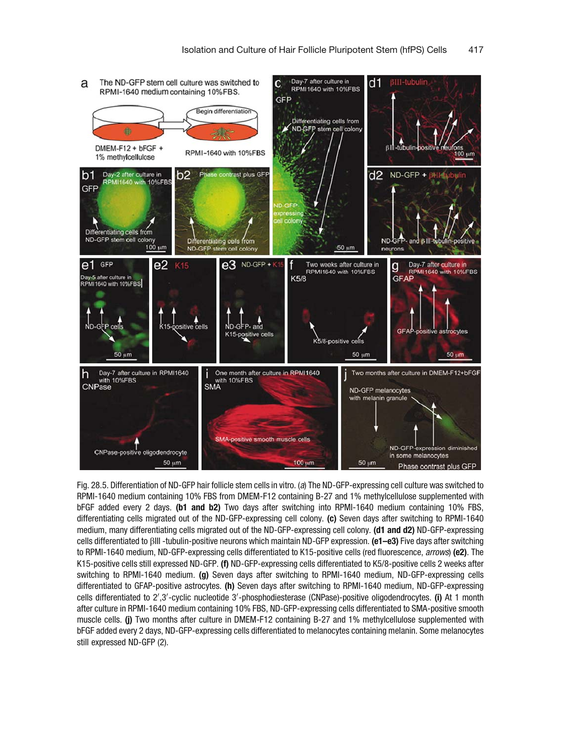<span id="page-16-0"></span>

Fig. 28.5. Differentiation of ND-GFP hair follicle stem cells in vitro. (a) The ND-GFP-expressing cell culture was switched to RPMI-1640 medium containing 10% FBS from DMEM-F12 containing B-27 and 1% methylcellulose supplemented with bFGF added every 2 days. (b1 and b2) Two days after switching into RPMI-1640 medium containing 10% FBS, differentiating cells migrated out of the ND-GFP-expressing cell colony. (c) Seven days after switching to RPMI-1640 medium, many differentiating cells migrated out of the ND-GFP-expressing cell colony. (d1 and d2) ND-GFP-expressing cells differentiated to  $\beta$ III -tubulin-positive neurons which maintain ND-GFP expression. (e1–e3) Five days after switching to RPMI-1640 medium, ND-GFP-expressing cells differentiated to K15-positive cells (red fluorescence, arrows) (e2). The K15-positive cells still expressed ND-GFP. (f) ND-GFP-expressing cells differentiated to K5/8-positive cells 2 weeks after switching to RPMI-1640 medium. (g) Seven days after switching to RPMI-1640 medium, ND-GFP-expressing cells differentiated to GFAP-positive astrocytes. (h) Seven days after switching to RPMI-1640 medium, ND-GFP-expressing cells differentiated to 2',3'-cyclic nucleotide 3'-phosphodiesterase (CNPase)-positive oligodendrocytes. (i) At 1 month after culture in RPMI-1640 medium containing 10% FBS, ND-GFP-expressing cells differentiated to SMA-positive smooth muscle cells. (j) Two months after culture in DMEM-F12 containing B-27 and 1% methylcellulose supplemented with bFGF added every 2 days, ND-GFP-expressing cells differentiated to melanocytes containing melanin. Some melanocytes still expressed ND-GFP ([2](#page-19-0)).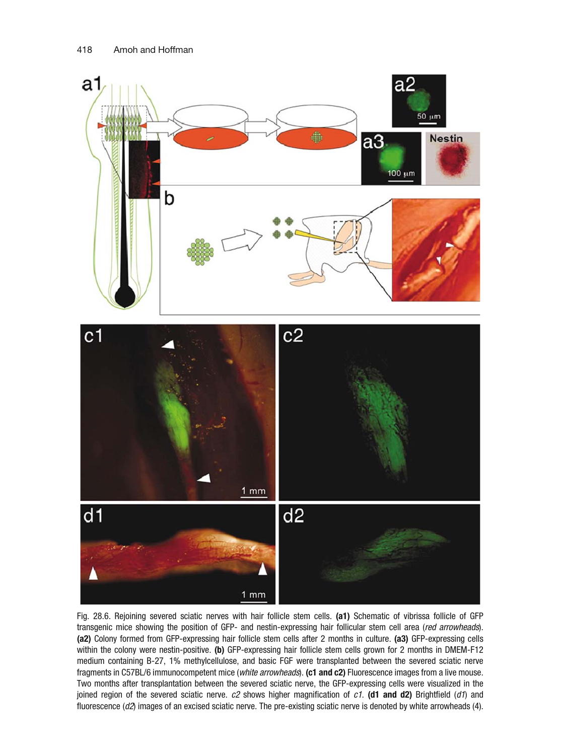<span id="page-17-0"></span>

Fig. 28.6. Rejoining severed sciatic nerves with hair follicle stem cells. (a1) Schematic of vibrissa follicle of GFP transgenic mice showing the position of GFP- and nestin-expressing hair follicular stem cell area (red arrowheads). (a2) Colony formed from GFP-expressing hair follicle stem cells after 2 months in culture. (a3) GFP-expressing cells within the colony were nestin-positive. (b) GFP-expressing hair follicle stem cells grown for 2 months in DMEM-F12 medium containing B-27, 1% methylcellulose, and basic FGF were transplanted between the severed sciatic nerve fragments in C57BL/6 immunocompetent mice (white arrowheads). (c1 and c2) Fluorescence images from a live mouse. Two months after transplantation between the severed sciatic nerve, the GFP-expressing cells were visualized in the joined region of the severed sciatic nerve.  $c2$  shows higher magnification of  $c1$ . (d1 and d2) Brightfield (d1) and fluorescence (d2) images of an excised sciatic nerve. The pre-existing sciatic nerve is denoted by white arrowheads [\(4](#page-19-0)).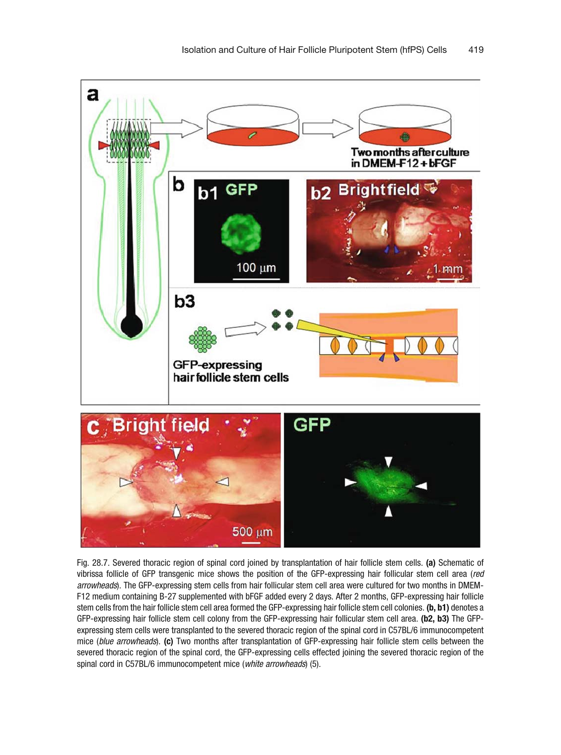<span id="page-18-0"></span>



Fig. 28.7. Severed thoracic region of spinal cord joined by transplantation of hair follicle stem cells. (a) Schematic of vibrissa follicle of GFP transgenic mice shows the position of the GFP-expressing hair follicular stem cell area (red arrowheads). The GFP-expressing stem cells from hair follicular stem cell area were cultured for two months in DMEM-F12 medium containing B-27 supplemented with bFGF added every 2 days. After 2 months, GFP-expressing hair follicle stem cells from the hair follicle stem cell area formed the GFP-expressing hair follicle stem cell colonies. (b, b1) denotes a GFP-expressing hair follicle stem cell colony from the GFP-expressing hair follicular stem cell area. (b2, b3) The GFPexpressing stem cells were transplanted to the severed thoracic region of the spinal cord in C57BL/6 immunocompetent mice (blue arrowheads). (c) Two months after transplantation of GFP-expressing hair follicle stem cells between the severed thoracic region of the spinal cord, the GFP-expressing cells effected joining the severed thoracic region of the spinal cord in C57BL/6 immunocompetent mice (white arrowheads) ([5\)](#page-19-0).